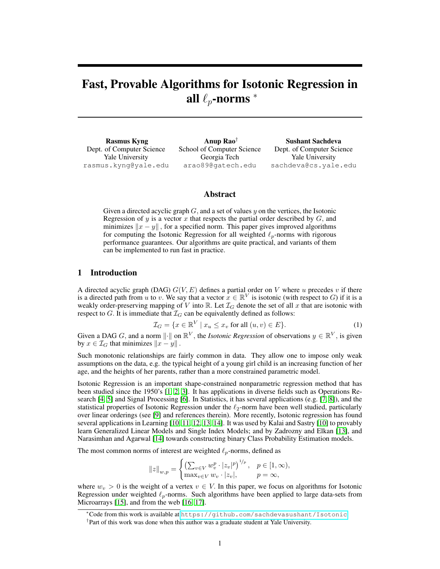# Fast, Provable Algorithms for Isotonic Regression in all  $\ell_n$ -norms  $*$

Rasmus Kyng Dept. of Computer Science Yale University rasmus.kyng@yale.edu

Anup Rao† School of Computer Science Georgia Tech arao89@gatech.edu

Sushant Sachdeva Dept. of Computer Science Yale University sachdeva@cs.yale.edu

## Abstract

Given a directed acyclic graph  $G$ , and a set of values  $y$  on the vertices, the Isotonic Regression of y is a vector x that respects the partial order described by  $G$ , and minimizes  $||x - y||$ , for a specified norm. This paper gives improved algorithms for computing the Isotonic Regression for all weighted  $\ell_p$ -norms with rigorous performance guarantees. Our algorithms are quite practical, and variants of them can be implemented to run fast in practice.

# 1 Introduction

A directed acyclic graph (DAG)  $G(V, E)$  defines a partial order on V where u precedes v if there is a directed path from u to v. We say that a vector  $x \in \mathbb{R}^V$  is isotonic (with respect to G) if it is a weakly order-preserving mapping of V into  $\mathbb{R}$ . Let  $\mathcal{I}_G$  denote the set of all x that are isotonic with respect to G. It is immediate that  $\mathcal{I}_G$  can be equivalently defined as follows:

$$
\mathcal{I}_G = \{ x \in \mathbb{R}^V \mid x_u \le x_v \text{ for all } (u, v) \in E \}. \tag{1}
$$

Given a DAG G, and a norm  $\|\cdot\|$  on  $\mathbb{R}^V$ , the *Isotonic Regression* of observations  $y \in \mathbb{R}^V$ , is given by  $x \in \mathcal{I}_G$  that minimizes  $||x - y||$ .

Such monotonic relationships are fairly common in data. They allow one to impose only weak assumptions on the data, e.g. the typical height of a young girl child is an increasing function of her age, and the heights of her parents, rather than a more constrained parametric model.

Isotonic Regression is an important shape-constrained nonparametric regression method that has been studied since the 1950's [1, 2, 3]. It has applications in diverse fields such as Operations Research [4, 5] and Signal Processing [6]. In Statistics, it has several applications (e.g. [7, 8]), and the statistical properties of Isotonic Regression under the  $\ell_2$ -norm have been well studied, particularly over linear orderings (see [9] and references therein). More recently, Isotonic regression has found several applications in Learning [10, 11, 12, 13, 14]. It was used by Kalai and Sastry [10] to provably learn Generalized Linear Models and Single Index Models; and by Zadrozny and Elkan [13], and Narasimhan and Agarwal [14] towards constructing binary Class Probability Estimation models.

The most common norms of interest are weighted  $\ell_p$ -norms, defined as

$$
||z||_{w,p} = \begin{cases} \left(\sum_{v \in V} w_v^p \cdot |z_v|^p\right)^{1/p}, & p \in [1, \infty), \\ \max_{v \in V} w_v \cdot |z_v|, & p = \infty, \end{cases}
$$

where  $w_v > 0$  is the weight of a vertex  $v \in V$ . In this paper, we focus on algorithms for Isotonic Regression under weighted  $\ell_p$ -norms. Such algorithms have been applied to large data-sets from Microarrays [15], and from the web [16, 17].

<sup>∗</sup>Code from this work is available at <https://github.com/sachdevasushant/Isotonic>

<sup>†</sup> Part of this work was done when this author was a graduate student at Yale University.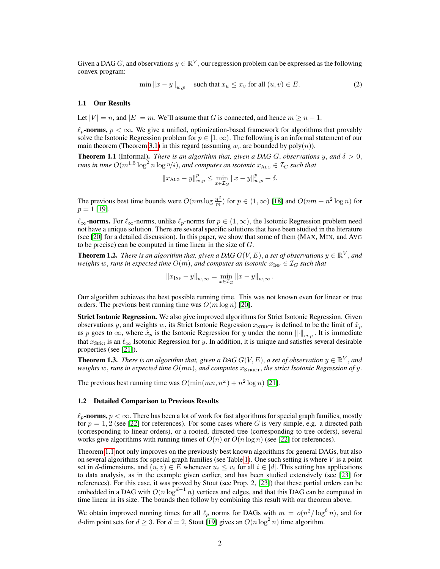Given a DAG G, and observations  $y \in \mathbb{R}^V$ , our regression problem can be expressed as the following convex program:

$$
\min \|x - y\|_{w,p} \quad \text{such that } x_u \le x_v \text{ for all } (u, v) \in E. \tag{2}
$$

## 1.1 Our Results

Let  $|V| = n$ , and  $|E| = m$ . We'll assume that G is connected, and hence  $m \ge n - 1$ .

 $\ell_p$ -norms,  $p < \infty$ . We give a unified, optimization-based framework for algorithms that provably solve the Isotonic Regression problem for  $p \in [1,\infty)$ . The following is an informal statement of our main theorem (Theorem 3.1) in this regard (assuming  $w<sub>v</sub>$  are bounded by poly $(n)$ ).

**Theorem 1.1** (Informal). *There is an algorithm that, given a DAG G, observations y, and*  $\delta > 0$ , *runs in time*  $O(m^{1.5}\log^2 n\log n/\delta)$ , *and computes an isotonic*  $x_{\text{ALG}} \in \mathcal{I}_G$  *such that* 

$$
||x_{\text{ALG}} - y||_{w,p}^{p} \le \min_{x \in \mathcal{I}_{G}} ||x - y||_{w,p}^{p} + \delta.
$$

The previous best time bounds were  $O(nm \log \frac{n^2}{m})$  for  $p \in (1,\infty)$  [18] and  $O(nm + n^2 \log n)$  for  $p = 1$  [19].

 $\ell_{\infty}$ -norms. For  $\ell_{\infty}$ -norms, unlike  $\ell_p$ -norms for  $p \in (1, \infty)$ , the Isotonic Regression problem need not have a unique solution. There are several specific solutions that have been studied in the literature (see [20] for a detailed discussion). In this paper, we show that some of them (MAX, MIN, and AVG to be precise) can be computed in time linear in the size of  $G$ .

**Theorem 1.2.** *There is an algorithm that, given a DAG G(V, E), a set of observations*  $y \in \mathbb{R}^V$  *, and weights* w, *runs* in expected time  $O(m)$ , and computes an isotonic  $x_{\text{INF}} \in \mathcal{I}_G$  such that

$$
||x_{\text{INF}} - y||_{w,\infty} = \min_{x \in \mathcal{I}_G} ||x - y||_{w,\infty}.
$$

Our algorithm achieves the best possible running time. This was not known even for linear or tree orders. The previous best running time was  $O(m \log n)$  [20].

Strict Isotonic Regression. We also give improved algorithms for Strict Isotonic Regression. Given observations y, and weights w, its Strict Isotonic Regression  $x_{\text{STRICT}}$  is defined to be the limit of  $\hat{x}_p$ as p goes to  $\infty$ , where  $\tilde{x}_p$  is the Isotonic Regression for y under the norm  $\left\| \cdot \right\|_{w,p}$ . It is immediate that  $x_{\text{Strict}}$  is an  $\ell_{\infty}$  Isotonic Regression for y. In addition, it is unique and satisfies several desirable properties (see [21]).

**Theorem 1.3.** There is an algorithm that, given a DAG  $G(V, E)$ , a set of observation  $y \in \mathbb{R}^V$ , and *weights* w, runs in expected time  $O(mn)$ , and computes  $x_{\text{STRICT}}$ , the strict Isotonic Regression of y.

The previous best running time was  $O(\min(mn, n^{\omega}) + n^2 \log n)$  [21].

### 1.2 Detailed Comparison to Previous Results

 $\ell_p$ -norms,  $p < \infty$ . There has been a lot of work for fast algorithms for special graph families, mostly for  $p = 1, 2$  (see [22] for references). For some cases where G is very simple, e.g. a directed path (corresponding to linear orders), or a rooted, directed tree (corresponding to tree orders), several works give algorithms with running times of  $O(n)$  or  $O(n \log n)$  (see [22] for references).

Theorem 1.1 not only improves on the previously best known algorithms for general DAGs, but also on several algorithms for special graph families (see Table 1). One such setting is where  $V$  is a point set in d-dimensions, and  $(u, v) \in E$  whenever  $u_i \leq v_i$  for all  $i \in [d]$ . This setting has applications to data analysis, as in the example given earlier, and has been studied extensively (see [23] for references). For this case, it was proved by Stout (see Prop. 2, [23]) that these partial orders can be embedded in a DAG with  $O(n \log^{d-1} n)$  vertices and edges, and that this DAG can be computed in time linear in its size. The bounds then follow by combining this result with our theorem above.

We obtain improved running times for all  $\ell_p$  norms for DAGs with  $m = o(n^2/\log^6 n)$ , and for d-dim point sets for  $d \geq 3$ . For  $d = 2$ , Stout [19] gives an  $O(n \log^2 n)$  time algorithm.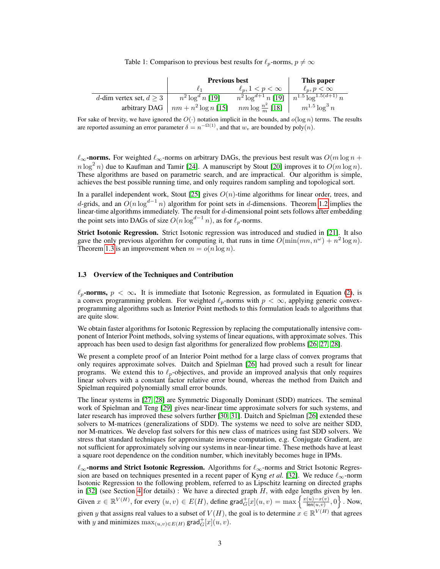Table 1: Comparison to previous best results for  $\ell_p$ -norms,  $p \neq \infty$ 

|                              | <b>Previous best</b>                   |                              | This paper                             |
|------------------------------|----------------------------------------|------------------------------|----------------------------------------|
|                              |                                        | $\ell_n, 1 < p < \infty$     | $\ell_p, p < \infty$                   |
| d-dim vertex set, $d \geq 3$ | $n^2 \log^d n$ [19]                    | $n^2 \log^{d+1} n$ [19]      | $n^{1.5} \overline{\log^{1.5(d+1)} n}$ |
|                              | arbitrary DAG $\mid nm+n^2\log n$ [15] | $nm \log \frac{n^2}{m}$ [18] | $m^{1.5} \log^3 n$                     |

For sake of brevity, we have ignored the  $O(\cdot)$  notation implicit in the bounds, and  $O(\log n)$  terms. The results are reported assuming an error parameter  $\delta = n^{-\Omega(1)}$ , and that  $w_v$  are bounded by  $poly(n)$ .

 $\ell_{\infty}$ -norms. For weighted  $\ell_{\infty}$ -norms on arbitrary DAGs, the previous best result was  $O(m \log n + \ell_{\infty})$  $n \log^2 n$ ) due to Kaufman and Tamir [24]. A manuscript by Stout [20] improves it to  $O(m \log n)$ . These algorithms are based on parametric search, and are impractical. Our algorithm is simple, achieves the best possible running time, and only requires random sampling and topological sort.

In a parallel independent work, Stout [25] gives  $O(n)$ -time algorithms for linear order, trees, and d-grids, and an  $O(n \log^{d-1} n)$  algorithm for point sets in d-dimensions. Theorem 1.2 implies the linear-time algorithms immediately. The result for d-dimensional point sets follows after embedding the point sets into DAGs of size  $O(n \log^{d-1} n)$ , as for  $\ell_p$ -norms.

Strict Isotonic Regression. Strict Isotonic regression was introduced and studied in [21]. It also gave the only previous algorithm for computing it, that runs in time  $O(\min(mn, n^{\omega}) + n^2 \log n)$ . Theorem 1.3 is an improvement when  $m = o(n \log n)$ .

## 1.3 Overview of the Techniques and Contribution

 $\ell_p$ -norms,  $p < \infty$ . It is immediate that Isotonic Regression, as formulated in Equation (2), is a convex programming problem. For weighted  $\ell_p$ -norms with  $p < \infty$ , applying generic convexprogramming algorithms such as Interior Point methods to this formulation leads to algorithms that are quite slow.

We obtain faster algorithms for Isotonic Regression by replacing the computationally intensive component of Interior Point methods, solving systems of linear equations, with approximate solves. This approach has been used to design fast algorithms for generalized flow problems [26, 27, 28].

We present a complete proof of an Interior Point method for a large class of convex programs that only requires approximate solves. Daitch and Spielman [26] had proved such a result for linear programs. We extend this to  $\ell_p$ -objectives, and provide an improved analysis that only requires linear solvers with a constant factor relative error bound, whereas the method from Daitch and Spielman required polynomially small error bounds.

The linear systems in [27, 28] are Symmetric Diagonally Dominant (SDD) matrices. The seminal work of Spielman and Teng [29] gives near-linear time approximate solvers for such systems, and later research has improved these solvers further [30, 31]. Daitch and Spielman [26] extended these solvers to M-matrices (generalizations of SDD). The systems we need to solve are neither SDD, nor M-matrices. We develop fast solvers for this new class of matrices using fast SDD solvers. We stress that standard techniques for approximate inverse computation, e.g. Conjugate Gradient, are not sufficient for approximately solving our systems in near-linear time. These methods have at least a square root dependence on the condition number, which inevitably becomes huge in IPMs.

 $\ell_{\infty}$ -norms and Strict Isotonic Regression. Algorithms for  $\ell_{\infty}$ -norms and Strict Isotonic Regression are based on techniques presented in a recent paper of Kyng *et al.* [32]. We reduce  $\ell_{\infty}$ -norm Isotonic Regression to the following problem, referred to as Lipschitz learning on directed graphs in  $[32]$  (see Section 4 for details) : We have a directed graph  $H$ , with edge lengths given by len. Given  $x \in \mathbb{R}^{V(H)}$ , for every  $(u, v) \in E(H)$ , define grad $_G^+[x](u, v) = \max \left\{ \frac{x(u) - x(v)}{\text{len}(u, v)} \right\}$  $\frac{(u)-x(v)}{\text{len}(u,v)}, 0$ . Now, given y that assigns real values to a subset of  $V(H)$ , the goal is to determine  $x \in \mathbb{R}^{V(H)}$  that agrees with y and minimizes  $\max_{(u,v)\in E(H)} \textsf{grad}_{G}^{+}[x](u,v)$ .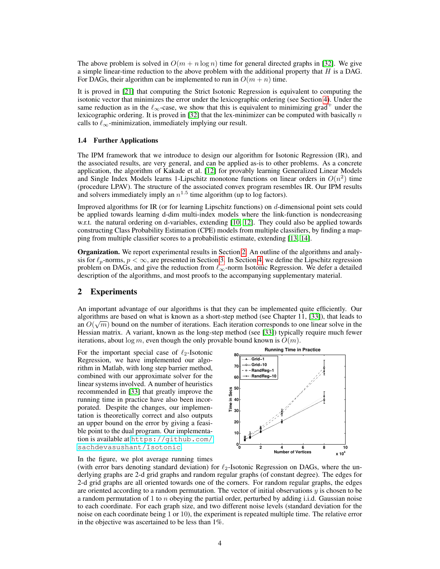The above problem is solved in  $O(m + n \log n)$  time for general directed graphs in [32]. We give a simple linear-time reduction to the above problem with the additional property that  $H$  is a DAG. For DAGs, their algorithm can be implemented to run in  $O(m + n)$  time.

It is proved in [21] that computing the Strict Isotonic Regression is equivalent to computing the isotonic vector that minimizes the error under the lexicographic ordering (see Section 4). Under the same reduction as in the  $\ell_{\infty}$ -case, we show that this is equivalent to minimizing grad<sup>+</sup> under the lexicographic ordering. It is proved in [32] that the lex-minimizer can be computed with basically  $n$ calls to  $\ell_{\infty}$ -minimization, immediately implying our result.

## 1.4 Further Applications

The IPM framework that we introduce to design our algorithm for Isotonic Regression (IR), and the associated results, are very general, and can be applied as-is to other problems. As a concrete application, the algorithm of Kakade et al. [12] for provably learning Generalized Linear Models and Single Index Models learns 1-Lipschitz monotone functions on linear orders in  $O(n^2)$  time (procedure LPAV). The structure of the associated convex program resembles IR. Our IPM results and solvers immediately imply an  $n^{1.5}$  time algorithm (up to log factors).

Improved algorithms for IR (or for learning Lipschitz functions) on d-dimensional point sets could be applied towards learning d-dim multi-index models where the link-function is nondecreasing w.r.t. the natural ordering on d-variables, extending [10, 12]. They could also be applied towards constructing Class Probability Estimation (CPE) models from multiple classifiers, by finding a mapping from multiple classifier scores to a probabilistic estimate, extending [13, 14].

**Organization.** We report experimental results in Section 2. An outline of the algorithms and analysis for  $\ell_p$ -norms,  $p < \infty$ , are presented in Section 3. In Section 4, we define the Lipschitz regression problem on DAGs, and give the reduction from  $\ell_{\infty}$ -norm Isotonic Regression. We defer a detailed description of the algorithms, and most proofs to the accompanying supplementary material.

## 2 Experiments

An important advantage of our algorithms is that they can be implemented quite efficiently. Our algorithms are based on what is known as a short-step method (see Chapter 11, [33]), that leads to an  $O(\sqrt{m})$  bound on the number of iterations. Each iteration corresponds to one linear solve in the Hessian matrix. A variant, known as the long-step method (see [33]) typically require much fewer iterations, about  $\log m$ , even though the only provable bound known is  $O(m)$ .

For the important special case of  $\ell_2$ -Isotonic Regression, we have implemented our algorithm in Matlab, with long step barrier method, combined with our approximate solver for the linear systems involved. A number of heuristics recommended in [33] that greatly improve the running time in practice have also been incorporated. Despite the changes, our implementation is theoretically correct and also outputs an upper bound on the error by giving a feasible point to the dual program. Our implementation is available at [https://github.com/](https://github.com/sachdevasushant/Isotonic) [sachdevasushant/Isotonic](https://github.com/sachdevasushant/Isotonic).



In the figure, we plot average running times

(with error bars denoting standard deviation) for  $\ell_2$ -Isotonic Regression on DAGs, where the underlying graphs are 2-d grid graphs and random regular graphs (of constant degree). The edges for 2-d grid graphs are all oriented towards one of the corners. For random regular graphs, the edges are oriented according to a random permutation. The vector of initial observations  $y$  is chosen to be a random permutation of 1 to  $n$  obeying the partial order, perturbed by adding i.i.d. Gaussian noise to each coordinate. For each graph size, and two different noise levels (standard deviation for the noise on each coordinate being 1 or 10), the experiment is repeated multiple time. The relative error in the objective was ascertained to be less than 1%.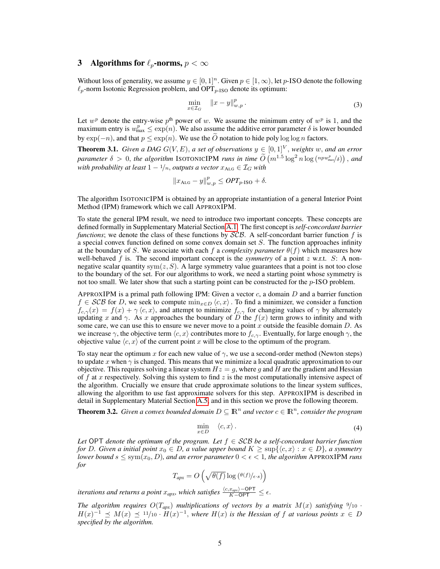# 3 Algorithms for  $\ell_p$ -norms,  $p < \infty$

Without loss of generality, we assume  $y \in [0, 1]^n$ . Given  $p \in [1, \infty)$ , let p-ISO denote the following  $\ell_p$ -norm Isotonic Regression problem, and OPT<sub>p-ISO</sub> denote its optimum:

$$
\min_{x \in \mathcal{I}_G} \quad \|x - y\|_{w,p}^p. \tag{3}
$$

Let  $w^p$  denote the entry-wise  $p^{\text{th}}$  power of w. We assume the minimum entry of  $w^p$  is 1, and the maximum entry is  $w_{\text{max}}^p \leq \exp(n)$ . We also assume the additive error parameter  $\delta$  is lower bounded by  $\exp(-n)$ , and that  $p \leq \exp(n)$ . We use the O notation to hide poly log log n factors.

**Theorem 3.1.** *Given a DAG*  $G(V, E)$ , *a set of observations*  $y \in [0, 1]^V$ , *weights* w, *and an error parameter*  $\delta > 0$ , *the algorithm* ISOTONICIPM *runs in time*  $\widetilde{O}(m^{1.5} \log^2 n \log (n p w_{\text{max}}^p / \delta))$ , and *with probability at least*  $1 - \frac{1}{n}$ *, outputs a vector*  $x_{\text{ALG}} \in \mathcal{I}_G$  *with* 

$$
||x_{\text{ALG}} - y||_{w,p}^p \leq OPT_{p\text{-ISO}} + \delta.
$$

The algorithm ISOTONICIPM is obtained by an appropriate instantiation of a general Interior Point Method (IPM) framework which we call APPROXIPM.

To state the general IPM result, we need to introduce two important concepts. These concepts are defined formally in Supplementary Material Section A.1. The first concept is*self-concordant barrier functions*; we denote the class of these functions by SCB. A self-concordant barrier function f is a special convex function defined on some convex domain set  $S$ . The function approaches infinity at the boundary of S. We associate with each f a *complexity parameter*  $\theta(f)$  which measures how well-behaved  $f$  is. The second important concept is the *symmetry* of a point  $z$  w.r.t.  $S$ : A nonnegative scalar quantity sym $(z, S)$ . A large symmetry value guarantees that a point is not too close to the boundary of the set. For our algorithms to work, we need a starting point whose symmetry is not too small. We later show that such a starting point can be constructed for the  $p$ -ISO problem.

APPROXIPM is a primal path following IPM: Given a vector  $c$ , a domain D and a barrier function  $f \in \mathcal{SCB}$  for D, we seek to compute  $\min_{x \in D} \langle c, x \rangle$ . To find a minimizer, we consider a function  $f_{c,\gamma}(x) = f(x) + \gamma \langle c, x \rangle$ , and attempt to minimize  $f_{c,\gamma}$  for changing values of  $\gamma$  by alternately updating x and  $\gamma$ . As x approaches the boundary of D the  $f(x)$  term grows to infinity and with some care, we can use this to ensure we never move to a point x outside the feasible domain  $D$ . As we increase  $\gamma$ , the objective term  $\langle c, x \rangle$  contributes more to  $f_c$ , Eventually, for large enough  $\gamma$ , the objective value  $\langle c, x \rangle$  of the current point x will be close to the optimum of the program.

To stay near the optimum x for each new value of  $\gamma$ , we use a second-order method (Newton steps) to update x when  $\gamma$  is changed. This means that we minimize a local quadratic approximation to our objective. This requires solving a linear system  $Hz = q$ , where q and H are the gradient and Hessian of f at x respectively. Solving this system to find z is the most computationally intensive aspect of the algorithm. Crucially we ensure that crude approximate solutions to the linear system suffices, allowing the algorithm to use fast approximate solvers for this step. APPROXIPM is described in detail in Supplementary Material Section A.5, and in this section we prove the following theorem.

**Theorem 3.2.** Given a convex bounded domain  $D \subseteq \mathbb{R}^n$  and vector  $c \in \mathbb{R}^n$ , consider the program

$$
\min_{x \in D} \quad \langle c, x \rangle \,. \tag{4}
$$

*Let* OPT *denote the optimum of the program. Let*  $f \in \mathcal{SCB}$  *be a self-concordant barrier function for* D. Given a initial point  $x_0 \in D$ , a value upper bound  $K \geq \sup\{\langle c, x \rangle : x \in D\}$ , a symmetry *lower bound*  $s \leq \text{sym}(x_0, D)$ *, and an error parameter*  $0 < \epsilon < 1$ *, the algorithm* APPROXIPM *runs for*

$$
T_{apx} = O\left(\sqrt{\theta(f)}\log\left(\frac{\theta(f)}{\epsilon \cdot s}\right)\right)
$$

*iterations and returns a point*  $x_{apx}$ *, which satisfies*  $\frac{\langle c, x_{apx} \rangle - \text{OPT}}{K - \text{OPT}} \leq \epsilon$ .

*The algorithm requires*  $O(T_{apx})$  *multiplications of vectors by a matrix*  $M(x)$  *satisfying*  $9/10$  ·  $H(x)^{-1} \preceq M(x) \preceq 11/10 \cdot H(x)^{-1}$ , where  $H(x)$  is the Hessian of f at various points  $x \in D$ *specified by the algorithm.*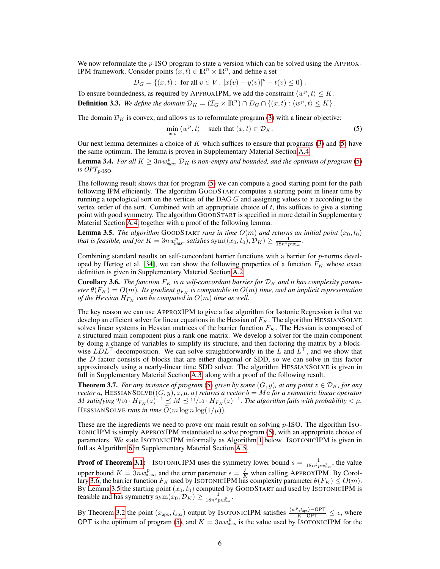We now reformulate the p-ISO program to state a version which can be solved using the APPROX-IPM framework. Consider points  $(x, t) \in \mathbb{R}^n \times \mathbb{R}^n$ , and define a set

$$
D_G = \{(x, t): \text{ for all } v \in V. \ |x(v) - y(v)|^p - t(v) \le 0\}.
$$

To ensure boundedness, as required by APPROXIPM, we add the constraint  $\langle w^p, t \rangle \le K$ . **Definition 3.3.** We define the domain  $\mathcal{D}_K = (\mathcal{I}_G \times \mathbb{R}^n) \cap D_G \cap \{(x,t) : \langle w^p, t \rangle \leq K\}$ .

The domain  $\mathcal{D}_K$  is convex, and allows us to reformulate program (3) with a linear objective:

$$
\min_{x,t} \langle w^p, t \rangle \quad \text{ such that } (x,t) \in \mathcal{D}_K. \tag{5}
$$

Our next lemma determines a choice of K which suffices to ensure that programs  $(3)$  and  $(5)$  have the same optimum. The lemma is proven in Supplementary Material Section A.4.

**Lemma 3.4.** For all  $K \geq 3n w_{\text{max}}^p$ ,  $\mathcal{D}_K$  is non-empty and bounded, and the optimum of program (5)  $i$ *s OPT*<sub>p-ISO</sub>.

The following result shows that for program (5) we can compute a good starting point for the path following IPM efficiently. The algorithm GOODSTART computes a starting point in linear time by running a topological sort on the vertices of the DAG  $G$  and assigning values to  $x$  according to the vertex order of the sort. Combined with an appropriate choice of  $t$ , this suffices to give a starting point with good symmetry. The algorithm GOODSTART is specified in more detail in Supplementary Material Section A.4, together with a proof of the following lemma.

**Lemma 3.5.** *The algorithm* GOODSTART *runs in time*  $O(m)$  *and returns an initial point*  $(x_0, t_0)$ that is feasible, and for  $K = 3n w_{max}^p$ , satisfies  ${\rm sym}((x_0,t_0),\mathcal{D}_K) \geq \frac{1}{18n^2pw_{max}^p}$ .

Combining standard results on self-concordant barrier functions with a barrier for  $p$ -norms developed by Hertog et al. [34], we can show the following properties of a function  $F_K$  whose exact definition is given in Supplementary Material Section A.2.

**Corollary 3.6.** The function  $F_K$  is a self-concordant barrier for  $\mathcal{D}_K$  and it has complexity param*eter*  $\theta(F_K) = O(m)$ *. Its gradient*  $g_{F_K}$  *is computable in*  $O(m)$  *time, and an implicit representation of the Hessian*  $H_{F_K}$  *can be computed in*  $O(m)$  *time as well.* 

The key reason we can use APPROXIPM to give a fast algorithm for Isotonic Regression is that we develop an efficient solver for linear equations in the Hessian of  $F_K$ . The algorithm HESSIANSOLVE solves linear systems in Hessian matrices of the barrier function  $F_K$ . The Hessian is composed of a structured main component plus a rank one matrix. We develop a solver for the main component by doing a change of variables to simplify its structure, and then factoring the matrix by a blockwise  $LDL<sup>T</sup>$ -decomposition. We can solve straightforwardly in the L and  $L<sup>T</sup>$ , and we show that the  $D$  factor consists of blocks that are either diagonal or SDD, so we can solve in this factor approximately using a nearly-linear time SDD solver. The algorithm HESSIANSOLVE is given in full in Supplementary Material Section A.3, along with a proof of the following result.

**Theorem 3.7.** *For any instance of program* (5) *given by some*  $(G, y)$ *, at any point*  $z \in \mathcal{D}_K$ *, for any*  $\mathit{vector}\,a$ ,  $\mathrm{HESSIANSOLVE}((G,y),z,\mu,a)$  *returns a vector*  $b = Ma$  *for a symmetric linear operator* M satisfying  $9/10 \cdot H_{F_K}(z)^{-1} \preceq M \preceq 11/10 \cdot H_{F_K}(z)^{-1}$ . The algorithm fails with probability  $< \mu$ . HESSIANSOLVE *runs in time*  $\tilde{O}(m \log n \log(1/\mu))$ .

These are the ingredients we need to prove our main result on solving  $p$ -ISO. The algorithm ISO-TONICIPM is simply APPROXIPM instantiated to solve program (5), with an appropriate choice of parameters. We state ISOTONICIPM informally as Algorithm 1 below. ISOTONICIPM is given in full as Algorithm 6 in Supplementary Material Section A.5.

**Proof of Theorem 3.1:** ISOTONICIPM uses the symmetry lower bound  $s = \frac{1}{18n^2pw_{\text{max}}^p}$ , the value upper bound  $K = 3nw_{\text{max}}^p$ , and the error parameter  $\epsilon = \frac{\delta}{K}$  when calling APPROXIPM. By Corollary 3.6, the barrier function  $F_K$  used by ISOTONICIPM has complexity parameter  $\theta(F_K) \leq O(m).$ By Lemma 3.5 the starting point  $(x_0, t_0)$  computed by GOODSTART and used by ISOTONICIPM is feasible and has symmetry  $sym(x_0, \mathcal{D}_K) \ge \frac{1}{18n^2pw_{\text{max}}^p}$ .

By Theorem 3.2 the point  $(x_{apx}, t_{apx})$  output by ISOTONICIPM satisfies  $\frac{\langle w^p, t_{apx} \rangle - \text{OPT}}{K - \text{OPT}} \leq \epsilon$ , where OPT is the optimum of program (5), and  $K = 3nw_{\text{max}}^p$  is the value used by ISOTONICIPM for the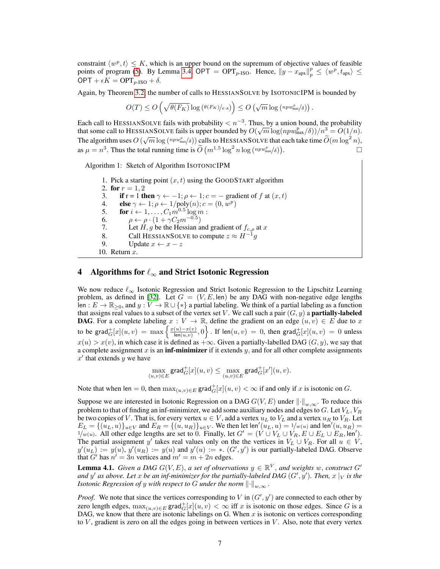constraint  $\langle w^p, t \rangle \leq K$ , which is an upper bound on the supremum of objective values of feasible points of program (5). By Lemma 3.4, OPT = OPT<sub>p-ISO</sub>. Hence,  $||y - x_{apx}||_p^p \le \langle w^p, t_{apx} \rangle \le$  $OPT + \epsilon K = OPT_{p\text{-ISO}} + \delta.$ 

Again, by Theorem 3.2, the number of calls to HESSIANSOLVE by ISOTONICIPM is bounded by

$$
O(T) \leq O\left(\sqrt{\theta(F_K)}\log\left(\frac{\theta(F_K)_{\epsilon \cdot s}}{\epsilon}\right)\right) \leq O\left(\sqrt{m}\log\left(\frac{np w_{\max}^p}{\delta}\right)\right).
$$

Each call to HESSIANSOLVE fails with probability  $\langle n^{-3}$ . Thus, by a union bound, the probability that some call to HESSIANSOLVE fails is upper bounded by  $O(\sqrt{m} \log(npw_{\text{max}}^p/\delta))/n^3 = O(1/n)$ . The algorithm uses  $O(\sqrt{m} \log (n_{\text{max}}/\delta))$  calls to HESSIANSOLVE that each take time  $\widetilde{O}(m \log^2 n)$ , as  $\mu = n^3$ . Thus the total running time is  $\widetilde{O}\left(m^{1.5} \log^2 n \log \left(\frac{np w_{\max}^p}{\delta}\right)\right)$ . — Процессионально производство в составе в собстановки в собстановки в собстановки в собстановки в собстанов<br>В собстановки в собстановки в собстановки в собстановки в собстановки в собстановки в собстановки в собстановк

Algorithm 1: Sketch of Algorithm ISOTONICIPM 1. Pick a starting point  $(x, t)$  using the GOODSTART algorithm 2. for  $r = 1, 2$ 3. if r = 1 then  $\gamma \leftarrow -1$ ;  $\rho \leftarrow 1$ ;  $c = -$  gradient of f at  $(x, t)$ 4. **else**  $\gamma \leftarrow 1; \rho \leftarrow 1/\text{poly}(n); c = (0, w^p)$ 5. **for**  $i \leftarrow 1, ..., C_1 m^{0.5} \log m$ : 6.  $\rho \leftarrow \rho \cdot (1 + \gamma C_2 m^{-0.5})$ 7. Let  $H, g$  be the Hessian and gradient of  $f_{c,\rho}$  at x 8. Call HESSIANSOLVE to compute  $z \approx H^{-1}g$ 9. Update  $x \leftarrow x - z$ 10. Return x.

# 4 Algorithms for  $\ell_{\infty}$  and Strict Isotonic Regression

We now reduce  $\ell_{\infty}$  Isotonic Regression and Strict Isotonic Regression to the Lipschitz Learning problem, as defined in [32]. Let  $G = (V, E, \text{len})$  be any DAG with non-negative edge lengths len :  $E \to \mathbb{R}_{\geq 0}$ , and  $y: V \to \mathbb{R} \cup \{*\}$  a partial labeling. We think of a partial labeling as a function that assigns real values to a subset of the vertex set V. We call such a pair  $(G, y)$  a **partially-labeled DAG**. For a complete labeling  $x : V \to \mathbb{R}$ , define the gradient on an edge  $(u, v) \in E$  due to x to be grad ${}_{G}^{+}[x](u,v) = \max \left\{ \frac{x(u)-x(v)}{\operatorname{len}(u,v)} \right\}$  $\left\{\frac{(u)-x(v)}{\mathsf{len}(u,v)},0\right\}$  . If  $\mathsf{len}(u,v)~=~0,$  then  $\mathsf{grad}^+_G[x](u,v)~=~0$  unless  $x(u) > x(v)$ , in which case it is defined as  $+\infty$ . Given a partially-labelled DAG  $(G, y)$ , we say that a complete assignment  $x$  is an **inf-minimizer** if it extends  $y$ , and for all other complete assignments  $x'$  that extends y we have

$$
\max_{(u,v)\in E} \mathsf{grad}^+_G[x](u,v) \leq \max_{(u,v)\in E} \mathsf{grad}^+_G[x'](u,v).
$$

Note that when len = 0, then  $\max_{(u,v)\in E} \text{grad}_G^+[x](u,v) < \infty$  if and only if x is isotonic on G.

Suppose we are interested in Isotonic Regression on a DAG  $G(V, E)$  under  $\|\cdot\|_{w,\infty}$ . To reduce this problem to that of finding an inf-minimizer, we add some auxiliary nodes and edges to G. Let  $V_L$ ,  $V_R$ be two copies of V. That is, for every vertex  $u \in V$ , add a vertex  $u_L$  to  $V_L$  and a vertex  $u_R$  to  $V_R$ . Let  $E_L = \{(u_L, u)\}_{u \in V}$  and  $E_R = \{(u, u_R)\}_{u \in V}$ . We then let len' $(u_L, u) = 1/w(u)$  and len' $(u, u_R) = 1/w(u)$  $1/w(u)$ . All other edge lengths are set to 0. Finally, let  $G' = (V \cup V_L \cup V_R, E \cup E_L \cup E_R, \text{len}').$ The partial assignment y' takes real values only on the the vertices in  $V_L \cup V_R$ . For all  $u \in V$ ,  $y'(u_L) := y(u)$ ,  $y'(u_R) := y(u)$  and  $y'(u) := * (G', y')$  is our partially-labeled DAG. Observe that  $G'$  has  $n' = 3n$  vertices and  $m' = m + 2n$  edges.

**Lemma 4.1.** *Given a DAG*  $G(V, E)$ , *a set of observations*  $y \in \mathbb{R}^V$ , *and weights* w, *construct*  $G'$ and  $y'$  as above. Let  $x$  be an inf-minimizer for the partially-labeled DAG  $(G', y')$ . Then,  $x\mid_V$  is the *Isotonic Regression of y with respect to* G *under the norm*  $\lVert \cdot \rVert_{w,\infty}$ .

*Proof.* We note that since the vertices corresponding to V in  $(G', y')$  are connected to each other by zero length edges,  $\max_{(u,v)\in E} \text{grad}_G^+(x)(u, v) < \infty$  iff x is isotonic on those edges. Since G is a DAG, we know that there are isotonic labelings on G. When  $x$  is isotonic on vertices corresponding to  $V$ , gradient is zero on all the edges going in between vertices in  $V$ . Also, note that every vertex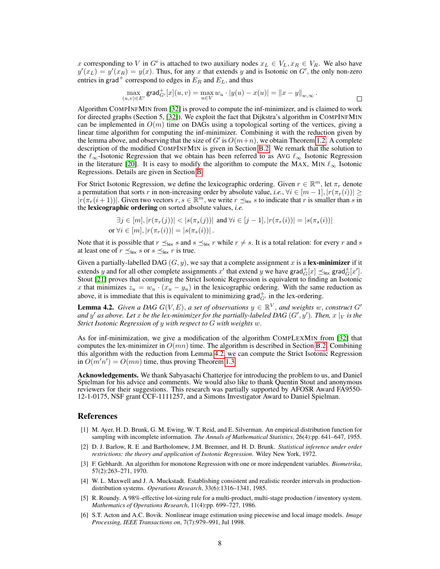x corresponding to V in G' is attached to two auxiliary nodes  $x_L \in V_L$ ,  $x_R \in V_R$ . We also have  $y'(x_L) = y'(x_R) = y(x)$ . Thus, for any x that extends y and is Isotonic on G', the only non-zero entries in grad<sup>+</sup> correspond to edges in  $E_R$  and  $E_L$ , and thus

$$
\max_{(u,v)\in E'}\mathsf{grad}^+_{G'}[x](u,v) = \max_{u\in V} w_u \cdot |y(u) - x(u)| = ||x - y||_{w,\infty}.
$$

 $\Box$ 

Algorithm COMPINFMIN from [32] is proved to compute the inf-minimizer, and is claimed to work for directed graphs (Section 5, [32]). We exploit the fact that Dijkstra's algorithm in COMPINFMIN can be implemented in  $O(m)$  time on DAGs using a topological sorting of the vertices, giving a linear time algorithm for computing the inf-minimizer. Combining it with the reduction given by the lemma above, and observing that the size of G' is  $O(m+n)$ , we obtain Theorem 1.2. A complete description of the modified COMPINFMIN is given in Section B.2. We remark that the solution to the  $\ell_{\infty}$ -Isotonic Regression that we obtain has been referred to as AvG  $\ell_{\infty}$  Isotonic Regression in the literature [20]. It is easy to modify the algorithm to compute the MAX, MIN  $\ell_{\infty}$  Isotonic Regressions. Details are given in Section B.

For Strict Isotonic Regression, we define the lexicographic ordering. Given  $r \in \mathbb{R}^m$ , let  $\pi_r$  denote a permutation that sorts r in non-increasing order by absolute value, *i.e.*,  $\forall i \in [m-1], |r(\pi_r(i))| \geq$  $|r(\pi_r(i+1))|$ . Given two vectors  $r, s \in \mathbb{R}^m$ , we write  $r \leq_{\text{lex}} s$  to indicate that r is smaller than s in the lexicographic ordering on sorted absolute values, *i.e.*

$$
\exists j \in [m], |r(\pi_r(j))| < |s(\pi_s(j))| \text{ and } \forall i \in [j-1], |r(\pi_r(i))| = |s(\pi_s(i))|
$$
\nor  $\forall i \in [m], |r(\pi_r(i))| = |s(\pi_s(i))|$ .

Note that it is possible that  $r \leq_{\text{lex}} s$  and  $s \leq_{\text{lex}} r$  while  $r \neq s$ . It is a total relation: for every r and s at least one of  $r \leq_{\text{lex}} s$  or  $s \leq_{\text{lex}} r$  is true.

Given a partially-labelled DAG  $(G, y)$ , we say that a complete assignment x is a lex-minimizer if it extends y and for all other complete assignments x' that extend y we have grad $_G^+[x] \preceq_{\text{lex}} \text{grad}_G^+[x']$ . Stout [21] proves that computing the Strict Isotonic Regression is equivalent to finding an Isotonic x that minimizes  $z_u = w_u \cdot (x_u - y_u)$  in the lexicographic ordering. With the same reduction as above, it is immediate that this is equivalent to minimizing grad $_{G'}^+$  in the lex-ordering.

**Lemma 4.2.** Given a DAG  $G(V, E)$ , a set of observations  $y \in \mathbb{R}^V$ , and weights w, construct G' and  $y'$  as above. Let  $x$  be the lex-minimizer for the partially-labeled DAG  $(G', y')$ . Then,  $x\mid_V$  is the *Strict Isotonic Regression of* y *with respect to* G *with weights* w.

As for inf-minimization, we give a modification of the algorithm COMPLEXMIN from [32] that computes the lex-minimizer in  $O(mn)$  time. The algorithm is described in Section B.2. Combining this algorithm with the reduction from Lemma 4.2, we can compute the Strict Isotonic Regression in  $O(m'n') = O(mn)$  time, thus proving Theorem 1.3.

Acknowledgements. We thank Sabyasachi Chatterjee for introducing the problem to us, and Daniel Spielman for his advice and comments. We would also like to thank Quentin Stout and anonymous reviewers for their suggestions. This research was partially supported by AFOSR Award FA9550- 12-1-0175, NSF grant CCF-1111257, and a Simons Investigator Award to Daniel Spielman.

## References

- [1] M. Ayer, H. D. Brunk, G. M. Ewing, W. T. Reid, and E. Silverman. An empirical distribution function for sampling with incomplete information. *The Annals of Mathematical Statistics*, 26(4):pp. 641–647, 1955.
- [2] D. J. Barlow, R. E .and Bartholomew, J.M. Bremner, and H. D. Brunk. *Statistical inference under order restrictions: the theory and application of Isotonic Regression*. Wiley New York, 1972.
- [3] F. Gebhardt. An algorithm for monotone Regression with one or more independent variables. *Biometrika*, 57(2):263–271, 1970.
- [4] W. L. Maxwell and J. A. Muckstadt. Establishing consistent and realistic reorder intervals in productiondistribution systems. *Operations Research*, 33(6):1316–1341, 1985.
- [5] R. Roundy. A 98%-effective lot-sizing rule for a multi-product, multi-stage production / inventory system. *Mathematics of Operations Research*, 11(4):pp. 699–727, 1986.
- [6] S.T. Acton and A.C. Bovik. Nonlinear image estimation using piecewise and local image models. *Image Processing, IEEE Transactions on*, 7(7):979–991, Jul 1998.